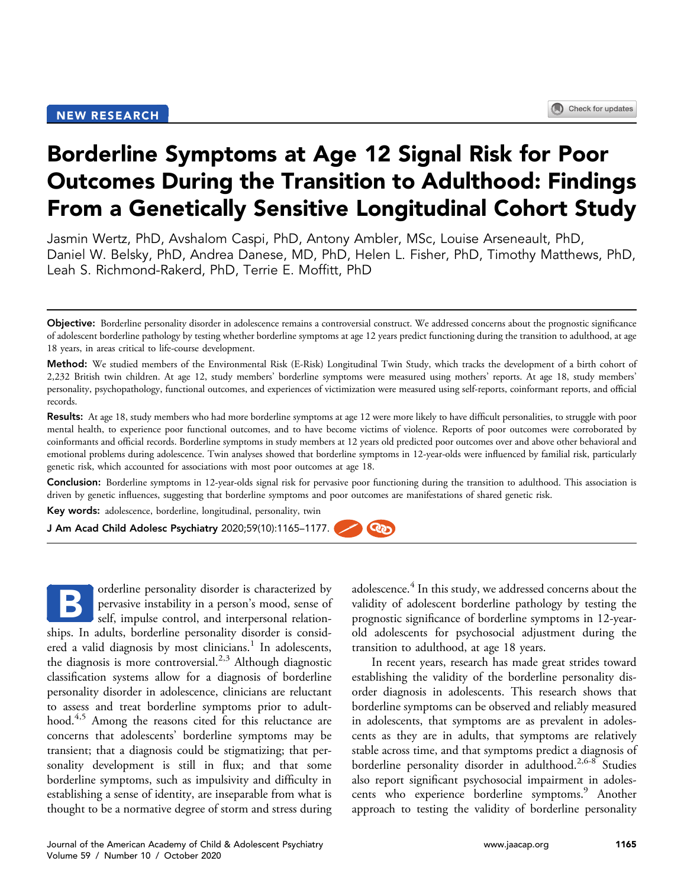# Borderline Symptoms at Age 12 Signal Risk for Poor Outcomes During the Transition to Adulthood: Findings From a Genetically Sensitive Longitudinal Cohort Study

Jasmin Wertz, PhD, Avshalom Caspi, PhD, Antony Ambler, MSc, Louise Arseneault, PhD, Daniel W. Belsky, PhD, Andrea Danese, MD, PhD, Helen L. Fisher, PhD, Timothy Matthews, PhD, Leah S. Richmond-Rakerd, PhD, Terrie E. Moffitt, PhD

Method: We studied members of the Environmental Risk (E-Risk) Longitudinal Twin Study, which tracks the development of a birth cohort of 2,232 British twin children. At age 12, study members' borderline symptoms were measured using mothers' reports. At age 18, study members' personality, psychopathology, functional outcomes, and experiences of victimization were measured using self-reports, coinformant reports, and official records.

Results: At age 18, study members who had more borderline symptoms at age 12 were more likely to have difficult personalities, to struggle with poor mental health, to experience poor functional outcomes, and to have become victims of violence. Reports of poor outcomes were corroborated by coinformants and official records. Borderline symptoms in study members at 12 years old predicted poor outcomes over and above other behavioral and emotional problems during adolescence. Twin analyses showed that borderline symptoms in 12-year-olds were influenced by familial risk, particularly genetic risk, which accounted for associations with most poor outcomes at age 18.

Conclusion: Borderline symptoms in 12-year-olds signal risk for pervasive poor functioning during the transition to adulthood. This association is driven by genetic influences, suggesting that borderline symptoms and poor outcomes are manifestations of shared genetic risk.

Key words: adolescence, borderline, longitudinal, personality, twin

J Am Acad Child Adolesc Psychiatry 2020;59(10):1165–1177. <u>್ರಾ</u>

orderline personality disorder is characterized by pervasive instability in a person's mood, sense of self, impulse control, and interpersonal relationships. In adults, borderline personality disorder is consid-ered a valid diagnosis by most clinicians.<sup>[1](#page-11-0)</sup> In adolescents, the diagnosis is more controversial.<sup>[2,3](#page-11-1)</sup> Although diagnostic classification systems allow for a diagnosis of borderline personality disorder in adolescence, clinicians are reluctant to assess and treat borderline symptoms prior to adult-hood.<sup>[4,5](#page-11-2)</sup> Among the reasons cited for this reluctance are concerns that adolescents' borderline symptoms may be transient; that a diagnosis could be stigmatizing; that personality development is still in flux; and that some borderline symptoms, such as impulsivity and difficulty in establishing a sense of identity, are inseparable from what is thought to be a normative degree of storm and stress during B

adolescence.<sup>[4](#page-11-2)</sup> In this study, we addressed concerns about the validity of adolescent borderline pathology by testing the prognostic significance of borderline symptoms in 12-yearold adolescents for psychosocial adjustment during the transition to adulthood, at age 18 years.

In recent years, research has made great strides toward establishing the validity of the borderline personality disorder diagnosis in adolescents. This research shows that borderline symptoms can be observed and reliably measured in adolescents, that symptoms are as prevalent in adolescents as they are in adults, that symptoms are relatively stable across time, and that symptoms predict a diagnosis of borderline personality disorder in adulthood.<sup>[2,6-8](#page-11-1)</sup> Studies also report significant psychosocial impairment in adoles-cents who experience borderline symptoms.<sup>[9](#page-11-3)</sup> Another approach to testing the validity of borderline personality

Objective: Borderline personality disorder in adolescence remains a controversial construct. We addressed concerns about the prognostic significance of adolescent borderline pathology by testing whether borderline symptoms at age 12 years predict functioning during the transition to adulthood, at age 18 years, in areas critical to life-course development.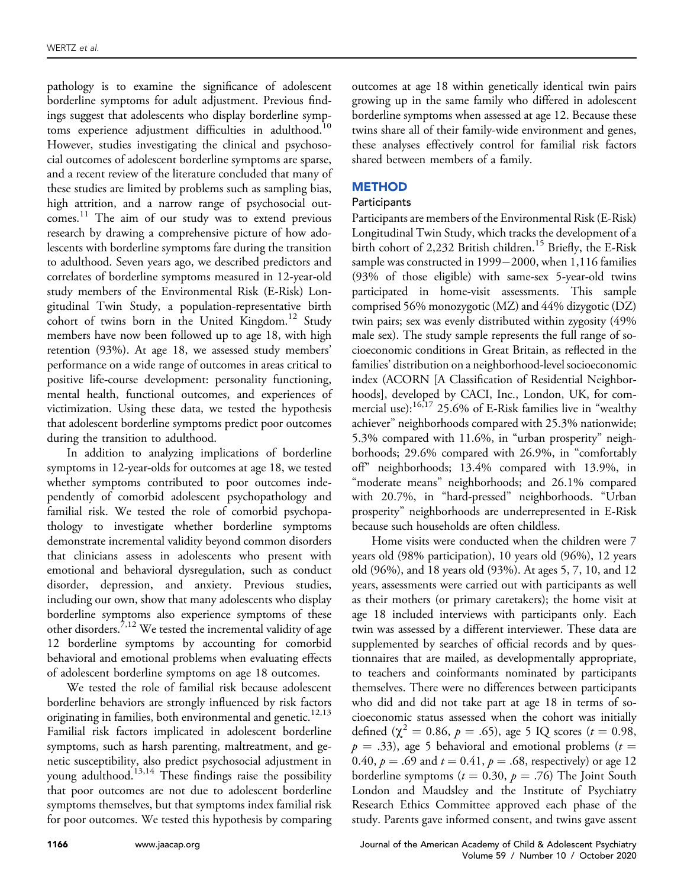pathology is to examine the significance of adolescent borderline symptoms for adult adjustment. Previous findings suggest that adolescents who display borderline symptoms experience adjustment difficulties in adulthood.<sup>10</sup> However, studies investigating the clinical and psychosocial outcomes of adolescent borderline symptoms are sparse, and a recent review of the literature concluded that many of these studies are limited by problems such as sampling bias, high attrition, and a narrow range of psychosocial outcomes. [11](#page-11-5) The aim of our study was to extend previous research by drawing a comprehensive picture of how adolescents with borderline symptoms fare during the transition to adulthood. Seven years ago, we described predictors and correlates of borderline symptoms measured in 12-year-old study members of the Environmental Risk (E-Risk) Longitudinal Twin Study, a population-representative birth cohort of twins born in the United Kingdom.<sup>12</sup> Study members have now been followed up to age 18, with high retention (93%). At age 18, we assessed study members' performance on a wide range of outcomes in areas critical to positive life-course development: personality functioning, mental health, functional outcomes, and experiences of victimization. Using these data, we tested the hypothesis that adolescent borderline symptoms predict poor outcomes during the transition to adulthood.

In addition to analyzing implications of borderline symptoms in 12-year-olds for outcomes at age 18, we tested whether symptoms contributed to poor outcomes independently of comorbid adolescent psychopathology and familial risk. We tested the role of comorbid psychopathology to investigate whether borderline symptoms demonstrate incremental validity beyond common disorders that clinicians assess in adolescents who present with emotional and behavioral dysregulation, such as conduct disorder, depression, and anxiety. Previous studies, including our own, show that many adolescents who display borderline symptoms also experience symptoms of these other disorders.<sup>[7,12](#page-11-7)</sup> We tested the incremental validity of age 12 borderline symptoms by accounting for comorbid behavioral and emotional problems when evaluating effects of adolescent borderline symptoms on age 18 outcomes.

We tested the role of familial risk because adolescent borderline behaviors are strongly influenced by risk factors originating in families, both environmental and genetic.<sup>12,13</sup> Familial risk factors implicated in adolescent borderline symptoms, such as harsh parenting, maltreatment, and genetic susceptibility, also predict psychosocial adjustment in young adulthood.[13,14](#page-11-8) These findings raise the possibility that poor outcomes are not due to adolescent borderline symptoms themselves, but that symptoms index familial risk for poor outcomes. We tested this hypothesis by comparing outcomes at age 18 within genetically identical twin pairs growing up in the same family who differed in adolescent borderline symptoms when assessed at age 12. Because these twins share all of their family-wide environment and genes, these analyses effectively control for familial risk factors shared between members of a family.

## **METHOD**

## Participants

Participants are members of the Environmental Risk (E-Risk) Longitudinal Twin Study, which tracks the development of a birth cohort of 2,232 British children.<sup>[15](#page-11-9)</sup> Briefly, the E-Risk sample was constructed in  $1999-2000$ , when  $1,116$  families (93% of those eligible) with same-sex 5-year-old twins participated in home-visit assessments. This sample comprised 56% monozygotic (MZ) and 44% dizygotic (DZ) twin pairs; sex was evenly distributed within zygosity (49% male sex). The study sample represents the full range of socioeconomic conditions in Great Britain, as reflected in the families' distribution on a neighborhood-level socioeconomic index (ACORN [A Classification of Residential Neighborhoods], developed by CACI, Inc., London, UK, for commercial use):[16,17](#page-11-10) 25.6% of E-Risk families live in "wealthy achiever" neighborhoods compared with 25.3% nationwide; 5.3% compared with 11.6%, in "urban prosperity" neighborhoods; 29.6% compared with 26.9%, in "comfortably off" neighborhoods; 13.4% compared with 13.9%, in "moderate means" neighborhoods; and 26.1% compared with 20.7%, in "hard-pressed" neighborhoods. "Urban prosperity" neighborhoods are underrepresented in E-Risk because such households are often childless.

Home visits were conducted when the children were 7 years old (98% participation), 10 years old (96%), 12 years old (96%), and 18 years old (93%). At ages 5, 7, 10, and 12 years, assessments were carried out with participants as well as their mothers (or primary caretakers); the home visit at age 18 included interviews with participants only. Each twin was assessed by a different interviewer. These data are supplemented by searches of official records and by questionnaires that are mailed, as developmentally appropriate, to teachers and coinformants nominated by participants themselves. There were no differences between participants who did and did not take part at age 18 in terms of socioeconomic status assessed when the cohort was initially defined ( $\chi^2 = 0.86$ ,  $p = .65$ ), age 5 IQ scores ( $t = 0.98$ ,  $p = .33$ ), age 5 behavioral and emotional problems ( $t =$ 0.40,  $p = .69$  and  $t = 0.41$ ,  $p = .68$ , respectively) or age 12 borderline symptoms ( $t = 0.30$ ,  $p = .76$ ) The Joint South London and Maudsley and the Institute of Psychiatry Research Ethics Committee approved each phase of the study. Parents gave informed consent, and twins gave assent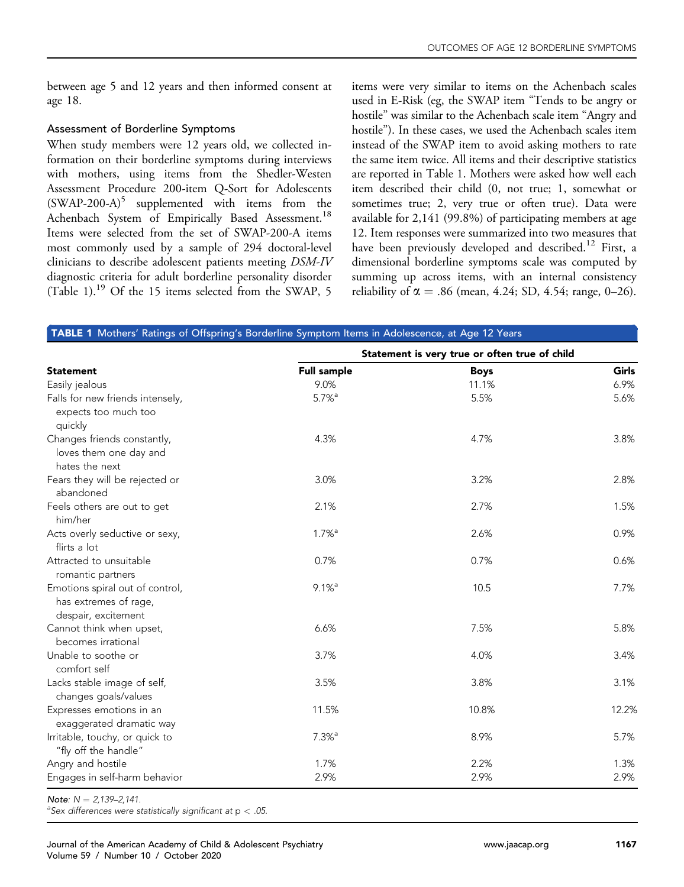between age 5 and 12 years and then informed consent at age 18.

## Assessment of Borderline Symptoms

When study members were 12 years old, we collected information on their borderline symptoms during interviews with mothers, using items from the Shedler-Westen Assessment Procedure 200-item Q-Sort for Adolescents  $(SWAP-200-A)^5$  $(SWAP-200-A)^5$  supplemented with items from the Achenbach System of Empirically Based Assessment.<sup>18</sup> Items were selected from the set of SWAP-200-A items most commonly used by a sample of 294 doctoral-level clinicians to describe adolescent patients meeting DSM-IV diagnostic criteria for adult borderline personality disorder ([Table 1\)](#page-2-0).[19](#page-11-13) Of the 15 items selected from the SWAP, 5

items were very similar to items on the Achenbach scales used in E-Risk (eg, the SWAP item "Tends to be angry or hostile" was similar to the Achenbach scale item "Angry and hostile"). In these cases, we used the Achenbach scales item instead of the SWAP item to avoid asking mothers to rate the same item twice. All items and their descriptive statistics are reported in [Table 1](#page-2-0). Mothers were asked how well each item described their child (0, not true; 1, somewhat or sometimes true; 2, very true or often true). Data were available for 2,141 (99.8%) of participating members at age 12. Item responses were summarized into two measures that have been previously developed and described.<sup>[12](#page-11-6)</sup> First, a dimensional borderline symptoms scale was computed by summing up across items, with an internal consistency reliability of  $\alpha = .86$  (mean, 4.24; SD, 4.54; range, 0–26).

<span id="page-2-0"></span>

| TABLE 1 Mothers' Ratings of Offspring's Borderline Symptom Items in Adolescence, at Age 12 Years |                                               |             |       |  |
|--------------------------------------------------------------------------------------------------|-----------------------------------------------|-------------|-------|--|
|                                                                                                  | Statement is very true or often true of child |             |       |  |
| <b>Statement</b>                                                                                 | <b>Full sample</b>                            | <b>Boys</b> | Girls |  |
| Easily jealous                                                                                   | 9.0%                                          | 11.1%       | 6.9%  |  |
| Falls for new friends intensely,<br>expects too much too<br>quickly                              | $5.7%$ <sup>a</sup>                           | 5.5%        | 5.6%  |  |
| Changes friends constantly,<br>loves them one day and<br>hates the next                          | 4.3%                                          | 4.7%        | 3.8%  |  |
| Fears they will be rejected or<br>abandoned                                                      | 3.0%                                          | 3.2%        | 2.8%  |  |
| Feels others are out to get<br>him/her                                                           | 2.1%                                          | 2.7%        | 1.5%  |  |
| Acts overly seductive or sexy,<br>flirts a lot                                                   | $1.7%$ <sup>a</sup>                           | 2.6%        | 0.9%  |  |
| Attracted to unsuitable<br>romantic partners                                                     | 0.7%                                          | 0.7%        | 0.6%  |  |
| Emotions spiral out of control,<br>has extremes of rage,<br>despair, excitement                  | $9.1%$ <sup>a</sup>                           | 10.5        | 7.7%  |  |
| Cannot think when upset,<br>becomes irrational                                                   | 6.6%                                          | 7.5%        | 5.8%  |  |
| Unable to soothe or<br>comfort self                                                              | 3.7%                                          | 4.0%        | 3.4%  |  |
| Lacks stable image of self,<br>changes goals/values                                              | 3.5%                                          | 3.8%        | 3.1%  |  |
| Expresses emotions in an<br>exaggerated dramatic way                                             | 11.5%                                         | 10.8%       | 12.2% |  |
| Irritable, touchy, or quick to<br>"fly off the handle"                                           | $7.3%$ <sup>a</sup>                           | 8.9%        | 5.7%  |  |
| Angry and hostile                                                                                | 1.7%                                          | 2.2%        | 1.3%  |  |
| Engages in self-harm behavior                                                                    | 2.9%                                          | 2.9%        | 2.9%  |  |

Note:  $N = 2,139-2,141$ .

<sup>a</sup>Sex differences were statistically significant at  $p < .05$ .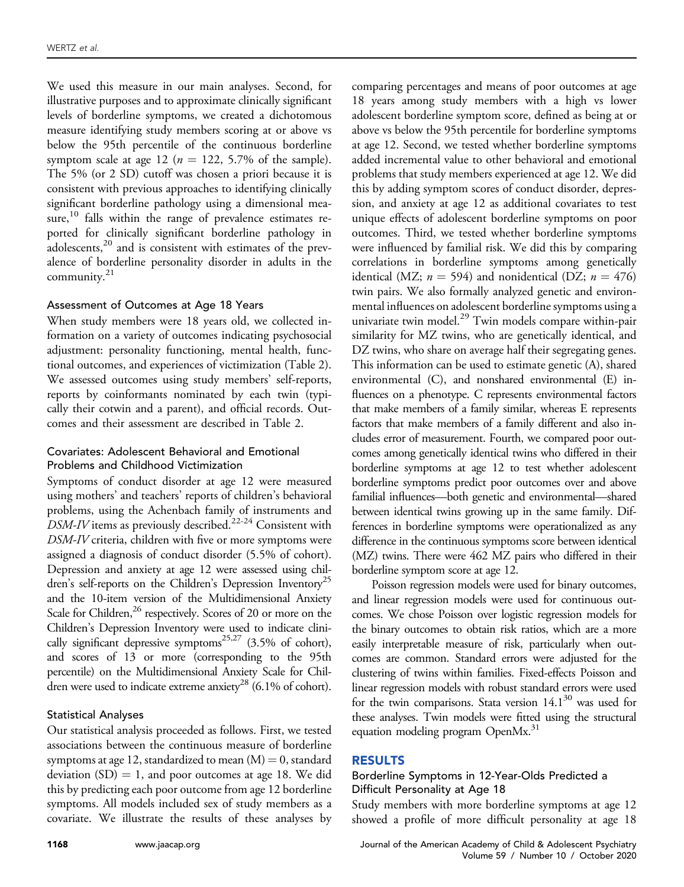We used this measure in our main analyses. Second, for illustrative purposes and to approximate clinically significant levels of borderline symptoms, we created a dichotomous measure identifying study members scoring at or above vs below the 95th percentile of the continuous borderline symptom scale at age 12 ( $n = 122, 5.7\%$  of the sample). The 5% (or 2 SD) cutoff was chosen a priori because it is consistent with previous approaches to identifying clinically significant borderline pathology using a dimensional mea-sure,<sup>[10](#page-11-4)</sup> falls within the range of prevalence estimates reported for clinically significant borderline pathology in adolescents,<sup>[20](#page-11-14)</sup> and is consistent with estimates of the prevalence of borderline personality disorder in adults in the community.<sup>21</sup>

## Assessment of Outcomes at Age 18 Years

When study members were 18 years old, we collected information on a variety of outcomes indicating psychosocial adjustment: personality functioning, mental health, functional outcomes, and experiences of victimization [\(Table 2](#page-4-0)). We assessed outcomes using study members' self-reports, reports by coinformants nominated by each twin (typically their cotwin and a parent), and official records. Outcomes and their assessment are described in [Table 2](#page-4-0).

## Covariates: Adolescent Behavioral and Emotional Problems and Childhood Victimization

Symptoms of conduct disorder at age 12 were measured using mothers' and teachers' reports of children's behavioral problems, using the Achenbach family of instruments and  $DSM-IV$  items as previously described.<sup>22-24</sup> Consistent with DSM-IV criteria, children with five or more symptoms were assigned a diagnosis of conduct disorder (5.5% of cohort). Depression and anxiety at age 12 were assessed using children's self-reports on the Children's Depression Inventory<sup>25</sup> and the 10-item version of the Multidimensional Anxiety Scale for Children,<sup>26</sup> respectively. Scores of 20 or more on the Children's Depression Inventory were used to indicate clini-cally significant depressive symptoms<sup>[25,27](#page-11-17)</sup> (3.5% of cohort), and scores of 13 or more (corresponding to the 95th percentile) on the Multidimensional Anxiety Scale for Chil-dren were used to indicate extreme anxiety<sup>[28](#page-11-19)</sup> (6.1% of cohort).

## Statistical Analyses

Our statistical analysis proceeded as follows. First, we tested associations between the continuous measure of borderline symptoms at age 12, standardized to mean  $(M) = 0$ , standard deviation  $(SD) = 1$ , and poor outcomes at age 18. We did this by predicting each poor outcome from age 12 borderline symptoms. All models included sex of study members as a covariate. We illustrate the results of these analyses by comparing percentages and means of poor outcomes at age 18 years among study members with a high vs lower adolescent borderline symptom score, defined as being at or above vs below the 95th percentile for borderline symptoms at age 12. Second, we tested whether borderline symptoms added incremental value to other behavioral and emotional problems that study members experienced at age 12. We did this by adding symptom scores of conduct disorder, depression, and anxiety at age 12 as additional covariates to test unique effects of adolescent borderline symptoms on poor outcomes. Third, we tested whether borderline symptoms were influenced by familial risk. We did this by comparing correlations in borderline symptoms among genetically identical (MZ;  $n = 594$ ) and nonidentical (DZ;  $n = 476$ ) twin pairs. We also formally analyzed genetic and environmental influences on adolescent borderline symptoms using a univariate twin model.<sup>[29](#page-11-20)</sup> Twin models compare within-pair similarity for MZ twins, who are genetically identical, and DZ twins, who share on average half their segregating genes. This information can be used to estimate genetic (A), shared environmental (C), and nonshared environmental (E) influences on a phenotype. C represents environmental factors that make members of a family similar, whereas E represents factors that make members of a family different and also includes error of measurement. Fourth, we compared poor outcomes among genetically identical twins who differed in their borderline symptoms at age 12 to test whether adolescent borderline symptoms predict poor outcomes over and above familial influences—both genetic and environmental—shared between identical twins growing up in the same family. Differences in borderline symptoms were operationalized as any difference in the continuous symptoms score between identical (MZ) twins. There were 462 MZ pairs who differed in their borderline symptom score at age 12.

Poisson regression models were used for binary outcomes, and linear regression models were used for continuous outcomes. We chose Poisson over logistic regression models for the binary outcomes to obtain risk ratios, which are a more easily interpretable measure of risk, particularly when outcomes are common. Standard errors were adjusted for the clustering of twins within families. Fixed-effects Poisson and linear regression models with robust standard errors were used for the twin comparisons. Stata version  $14.1^{30}$  was used for these analyses. Twin models were fitted using the structural equation modeling program OpenMx.<sup>31</sup>

## RESULTS

## Borderline Symptoms in 12-Year-Olds Predicted a Difficult Personality at Age 18

Study members with more borderline symptoms at age 12 showed a profile of more difficult personality at age 18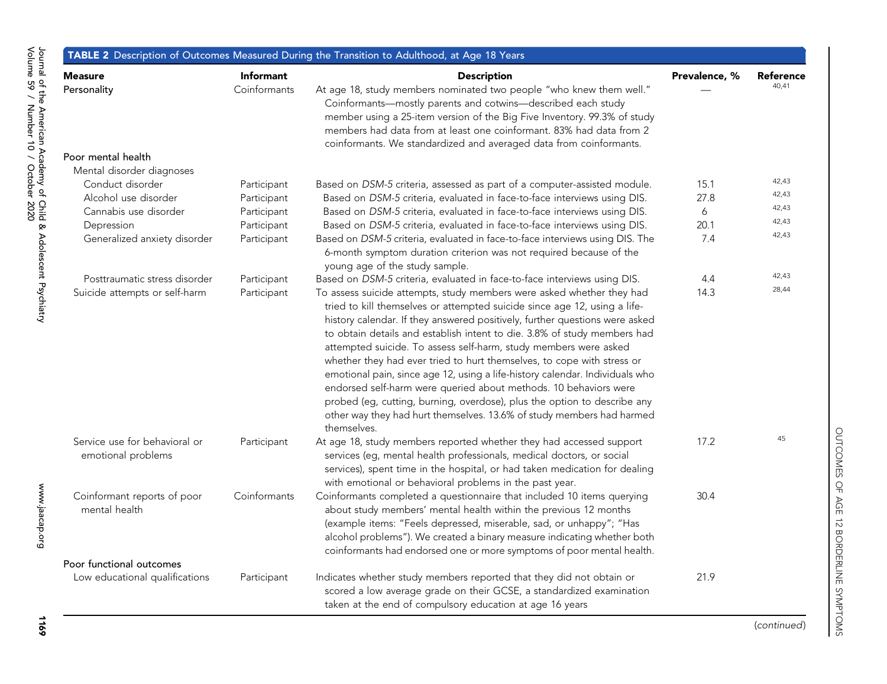<span id="page-4-0"></span>

|                                                     |                                  | TABLE 2 Description of Outcomes Measured During the Transition to Adulthood, at Age 18 Years                                                                                                                                                                                                                                                                                                                                                                                                                                                                                                                                                                                                                                                                                        |               |                           |
|-----------------------------------------------------|----------------------------------|-------------------------------------------------------------------------------------------------------------------------------------------------------------------------------------------------------------------------------------------------------------------------------------------------------------------------------------------------------------------------------------------------------------------------------------------------------------------------------------------------------------------------------------------------------------------------------------------------------------------------------------------------------------------------------------------------------------------------------------------------------------------------------------|---------------|---------------------------|
| <b>Measure</b><br>Personality                       | <b>Informant</b><br>Coinformants | <b>Description</b><br>At age 18, study members nominated two people "who knew them well."<br>Coinformants-mostly parents and cotwins-described each study<br>member using a 25-item version of the Big Five Inventory. 99.3% of study<br>members had data from at least one coinformant. 83% had data from 2<br>coinformants. We standardized and averaged data from coinformants.                                                                                                                                                                                                                                                                                                                                                                                                  | Prevalence, % | <b>Reference</b><br>40.41 |
| Poor mental health                                  |                                  |                                                                                                                                                                                                                                                                                                                                                                                                                                                                                                                                                                                                                                                                                                                                                                                     |               |                           |
| Mental disorder diagnoses                           |                                  |                                                                                                                                                                                                                                                                                                                                                                                                                                                                                                                                                                                                                                                                                                                                                                                     |               | 42,43                     |
| Conduct disorder                                    | Participant                      | Based on DSM-5 criteria, assessed as part of a computer-assisted module.                                                                                                                                                                                                                                                                                                                                                                                                                                                                                                                                                                                                                                                                                                            | 15.1          | 42,43                     |
| Alcohol use disorder                                | Participant                      | Based on DSM-5 criteria, evaluated in face-to-face interviews using DIS.                                                                                                                                                                                                                                                                                                                                                                                                                                                                                                                                                                                                                                                                                                            | 27.8          | 42,43                     |
| Cannabis use disorder                               | Participant                      | Based on DSM-5 criteria, evaluated in face-to-face interviews using DIS.                                                                                                                                                                                                                                                                                                                                                                                                                                                                                                                                                                                                                                                                                                            | 6             | 42,43                     |
| Depression                                          | Participant                      | Based on DSM-5 criteria, evaluated in face-to-face interviews using DIS.                                                                                                                                                                                                                                                                                                                                                                                                                                                                                                                                                                                                                                                                                                            | 20.1          | 42,43                     |
| Generalized anxiety disorder                        | Participant                      | Based on DSM-5 criteria, evaluated in face-to-face interviews using DIS. The<br>6-month symptom duration criterion was not required because of the<br>young age of the study sample.                                                                                                                                                                                                                                                                                                                                                                                                                                                                                                                                                                                                | 7.4           |                           |
| Posttraumatic stress disorder                       | Participant                      | Based on DSM-5 criteria, evaluated in face-to-face interviews using DIS.                                                                                                                                                                                                                                                                                                                                                                                                                                                                                                                                                                                                                                                                                                            | 4.4           | 42,43                     |
| Suicide attempts or self-harm                       | Participant                      | To assess suicide attempts, study members were asked whether they had<br>tried to kill themselves or attempted suicide since age 12, using a life-<br>history calendar. If they answered positively, further questions were asked<br>to obtain details and establish intent to die. 3.8% of study members had<br>attempted suicide. To assess self-harm, study members were asked<br>whether they had ever tried to hurt themselves, to cope with stress or<br>emotional pain, since age 12, using a life-history calendar. Individuals who<br>endorsed self-harm were queried about methods. 10 behaviors were<br>probed (eg, cutting, burning, overdose), plus the option to describe any<br>other way they had hurt themselves. 13.6% of study members had harmed<br>themselves. | 14.3          | 28,44                     |
| Service use for behavioral or<br>emotional problems | Participant                      | At age 18, study members reported whether they had accessed support<br>services (eg, mental health professionals, medical doctors, or social<br>services), spent time in the hospital, or had taken medication for dealing<br>with emotional or behavioral problems in the past year.                                                                                                                                                                                                                                                                                                                                                                                                                                                                                               | 17.2          | 45                        |
| Coinformant reports of poor<br>mental health        | Coinformants                     | Coinformants completed a questionnaire that included 10 items querying<br>about study members' mental health within the previous 12 months<br>(example items: "Feels depressed, miserable, sad, or unhappy"; "Has<br>alcohol problems"). We created a binary measure indicating whether both<br>coinformants had endorsed one or more symptoms of poor mental health.                                                                                                                                                                                                                                                                                                                                                                                                               | 30.4          |                           |
| Poor functional outcomes                            |                                  |                                                                                                                                                                                                                                                                                                                                                                                                                                                                                                                                                                                                                                                                                                                                                                                     |               |                           |
| Low educational qualifications                      | Participant                      | Indicates whether study members reported that they did not obtain or<br>scored a low average grade on their GCSE, a standardized examination<br>taken at the end of compulsory education at age 16 years                                                                                                                                                                                                                                                                                                                                                                                                                                                                                                                                                                            | 21.9          |                           |

1169

(continued)

OUTCOMES OF AGE 12 BORDERLINE SYMPTOMS

OUTCOMES OF AGE 12 BORDERLINE SYMPTOMS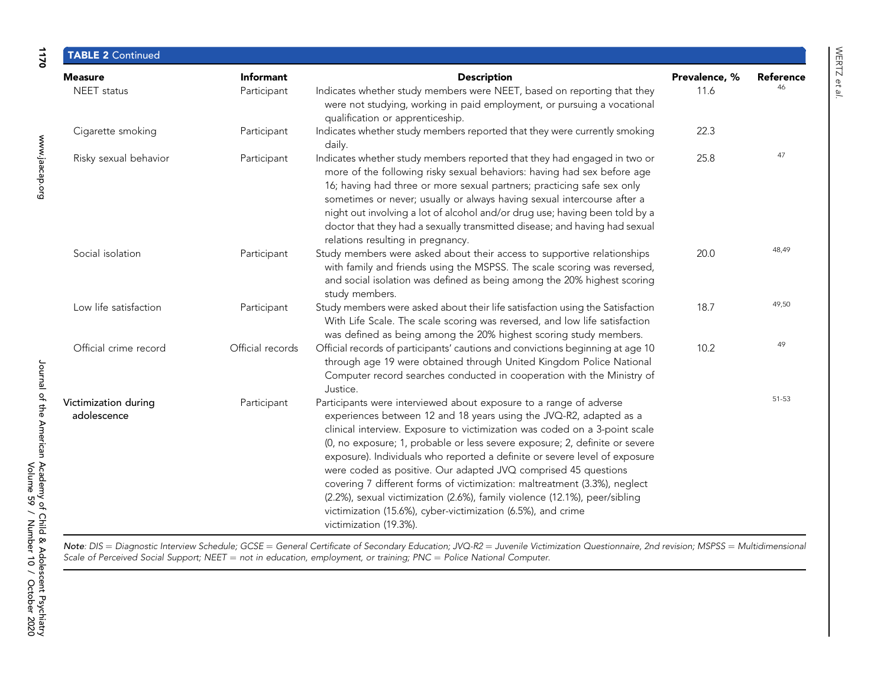| <b>Measure</b>                                                                                                                                                                                                                                                                                                                                                                                                                                                                                                                                                                                                                                                                                                                                                   | <b>Informant</b> | <b>Description</b>                                                                                                                                                                                                                                                                                                                                                                                                                                                                                         | Prevalence, % | Reference |
|------------------------------------------------------------------------------------------------------------------------------------------------------------------------------------------------------------------------------------------------------------------------------------------------------------------------------------------------------------------------------------------------------------------------------------------------------------------------------------------------------------------------------------------------------------------------------------------------------------------------------------------------------------------------------------------------------------------------------------------------------------------|------------------|------------------------------------------------------------------------------------------------------------------------------------------------------------------------------------------------------------------------------------------------------------------------------------------------------------------------------------------------------------------------------------------------------------------------------------------------------------------------------------------------------------|---------------|-----------|
| NEET status                                                                                                                                                                                                                                                                                                                                                                                                                                                                                                                                                                                                                                                                                                                                                      | Participant      | Indicates whether study members were NEET, based on reporting that they<br>were not studying, working in paid employment, or pursuing a vocational<br>qualification or apprenticeship.                                                                                                                                                                                                                                                                                                                     | 11.6          | 46        |
| Cigarette smoking                                                                                                                                                                                                                                                                                                                                                                                                                                                                                                                                                                                                                                                                                                                                                | Participant      | Indicates whether study members reported that they were currently smoking<br>daily.                                                                                                                                                                                                                                                                                                                                                                                                                        | 22.3          |           |
| Risky sexual behavior                                                                                                                                                                                                                                                                                                                                                                                                                                                                                                                                                                                                                                                                                                                                            | Participant      | Indicates whether study members reported that they had engaged in two or<br>more of the following risky sexual behaviors: having had sex before age<br>16; having had three or more sexual partners; practicing safe sex only<br>sometimes or never; usually or always having sexual intercourse after a<br>night out involving a lot of alcohol and/or drug use; having been told by a<br>doctor that they had a sexually transmitted disease; and having had sexual<br>relations resulting in pregnancy. | 25.8          | 47        |
| Social isolation                                                                                                                                                                                                                                                                                                                                                                                                                                                                                                                                                                                                                                                                                                                                                 | Participant      | Study members were asked about their access to supportive relationships<br>with family and friends using the MSPSS. The scale scoring was reversed,<br>and social isolation was defined as being among the 20% highest scoring<br>study members.                                                                                                                                                                                                                                                           | 20.0          | 48,49     |
| Low life satisfaction                                                                                                                                                                                                                                                                                                                                                                                                                                                                                                                                                                                                                                                                                                                                            | Participant      | Study members were asked about their life satisfaction using the Satisfaction<br>With Life Scale. The scale scoring was reversed, and low life satisfaction<br>was defined as being among the 20% highest scoring study members.                                                                                                                                                                                                                                                                           | 18.7          | 49.50     |
| Official crime record                                                                                                                                                                                                                                                                                                                                                                                                                                                                                                                                                                                                                                                                                                                                            | Official records | Official records of participants' cautions and convictions beginning at age 10<br>through age 19 were obtained through United Kingdom Police National<br>Computer record searches conducted in cooperation with the Ministry of<br>Justice.                                                                                                                                                                                                                                                                | 10.2          | 49        |
| Participants were interviewed about exposure to a range of adverse<br>Victimization during<br>Participant<br>adolescence<br>experiences between 12 and 18 years using the JVQ-R2, adapted as a<br>clinical interview. Exposure to victimization was coded on a 3-point scale<br>(0, no exposure; 1, probable or less severe exposure; 2, definite or severe<br>exposure). Individuals who reported a definite or severe level of exposure<br>were coded as positive. Our adapted JVQ comprised 45 questions<br>covering 7 different forms of victimization: maltreatment (3.3%), neglect<br>(2.2%), sexual victimization (2.6%), family violence (12.1%), peer/sibling<br>victimization (15.6%), cyber-victimization (6.5%), and crime<br>victimization (19.3%). |                  |                                                                                                                                                                                                                                                                                                                                                                                                                                                                                                            | $51 - 53$     |           |

Note: DIS = Diagnostic Interview Schedule; GCSE = General Certificate of Secondary Education; JVQ-R2 = Juvenile Victimization Questionnaire, 2nd revision; MSPSS Multidimensional Scale of Perceived Social Support; NEET = not in education, employment, or training; PNC = Police National Computer.

1170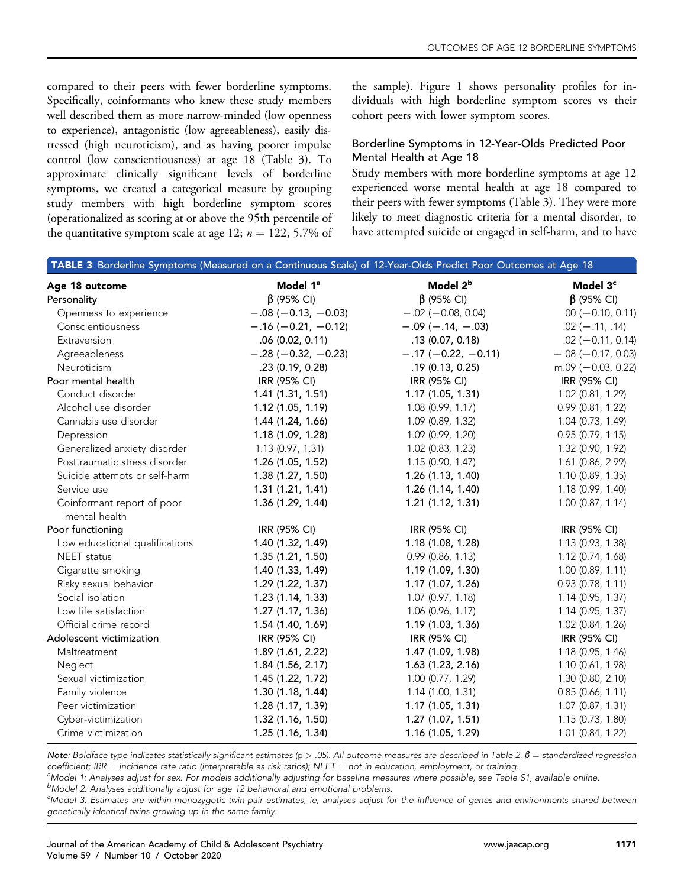compared to their peers with fewer borderline symptoms. Specifically, coinformants who knew these study members well described them as more narrow-minded (low openness to experience), antagonistic (low agreeableness), easily distressed (high neuroticism), and as having poorer impulse control (low conscientiousness) at age 18 ([Table 3\)](#page-6-0). To approximate clinically significant levels of borderline symptoms, we created a categorical measure by grouping study members with high borderline symptom scores (operationalized as scoring at or above the 95th percentile of the quantitative symptom scale at age 12;  $n = 122$ , 5.7% of the sample). [Figure 1](#page-7-0) shows personality profiles for individuals with high borderline symptom scores vs their cohort peers with lower symptom scores.

## Borderline Symptoms in 12-Year-Olds Predicted Poor Mental Health at Age 18

Study members with more borderline symptoms at age 12 experienced worse mental health at age 18 compared to their peers with fewer symptoms [\(Table 3](#page-6-0)). They were more likely to meet diagnostic criteria for a mental disorder, to have attempted suicide or engaged in self-harm, and to have

<span id="page-6-0"></span>

|                                             |                       | <b>TABLE 3</b> Borderline Symptoms (Measured on a Continuous Scale) of 12-Year-Olds Predict Poor Outcomes at Age 18 |                          |  |
|---------------------------------------------|-----------------------|---------------------------------------------------------------------------------------------------------------------|--------------------------|--|
| Age 18 outcome                              | Model 1ª              | Model 2 <sup>b</sup>                                                                                                | Model 3 <sup>c</sup>     |  |
| Personality                                 | $\beta$ (95% CI)      | $\beta$ (95% CI)                                                                                                    | $\beta$ (95% CI)         |  |
| Openness to experience                      | $-.08 (-0.13, -0.03)$ | $-.02 (-0.08, 0.04)$                                                                                                | $.00 (-0.10, 0.11)$      |  |
| Conscientiousness                           | $-.16 (-0.21, -0.12)$ | $-.09 (-.14, -.03)$                                                                                                 | $.02 (-.11, .14)$        |  |
| Extraversion                                | .06(0.02, 0.11)       | .13(0.07, 0.18)                                                                                                     | $.02 (-0.11, 0.14)$      |  |
| Agreeableness                               | $-.28 (-0.32, -0.23)$ | $-.17(-0.22, -0.11)$                                                                                                | $-.08 (-0.17, 0.03)$     |  |
| Neuroticism                                 | .23(0.19, 0.28)       | .19(0.13, 0.25)                                                                                                     | $m.09$ ( $-0.03$ , 0.22) |  |
| Poor mental health                          | IRR (95% CI)          | IRR (95% CI)                                                                                                        | IRR (95% CI)             |  |
| Conduct disorder                            | 1.41(1.31, 1.51)      | 1.17(1.05, 1.31)                                                                                                    | 1.02 (0.81, 1.29)        |  |
| Alcohol use disorder                        | 1.12(1.05, 1.19)      | 1.08 (0.99, 1.17)                                                                                                   | $0.99$ (0.81, 1.22)      |  |
| Cannabis use disorder                       | 1.44 (1.24, 1.66)     | 1.09 (0.89, 1.32)                                                                                                   | 1.04 (0.73, 1.49)        |  |
| Depression                                  | 1.18 (1.09, 1.28)     | 1.09 (0.99, 1.20)                                                                                                   | $0.95$ (0.79, 1.15)      |  |
| Generalized anxiety disorder                | 1.13 (0.97, 1.31)     | 1.02 (0.83, 1.23)                                                                                                   | 1.32 (0.90, 1.92)        |  |
| Posttraumatic stress disorder               | 1.26 (1.05, 1.52)     | 1.15(0.90, 1.47)                                                                                                    | 1.61 (0.86, 2.99)        |  |
| Suicide attempts or self-harm               | 1.38(1.27, 1.50)      | 1.26 (1.13, 1.40)                                                                                                   | 1.10 (0.89, 1.35)        |  |
| Service use                                 | 1.31(1.21, 1.41)      | 1.26(1.14, 1.40)                                                                                                    | 1.18 (0.99, 1.40)        |  |
| Coinformant report of poor<br>mental health | 1.36 (1.29, 1.44)     | 1.21 (1.12, 1.31)                                                                                                   | $1.00$ (0.87, 1.14)      |  |
| Poor functioning                            | IRR (95% CI)          | IRR (95% CI)                                                                                                        | IRR (95% CI)             |  |
| Low educational qualifications              | 1.40(1.32, 1.49)      | 1.18(1.08, 1.28)                                                                                                    | 1.13(0.93, 1.38)         |  |
| <b>NEET</b> status                          | 1.35(1.21, 1.50)      | 0.99(0.86, 1.13)                                                                                                    | $1.12$ (0.74, 1.68)      |  |
| Cigarette smoking                           | 1.40(1.33, 1.49)      | 1.19(1.09, 1.30)                                                                                                    | $1.00$ (0.89, 1.11)      |  |
| Risky sexual behavior                       | 1.29(1.22, 1.37)      | 1.17 (1.07, 1.26)                                                                                                   | 0.93(0.78, 1.11)         |  |
| Social isolation                            | 1.23(1.14, 1.33)      | 1.07 (0.97, 1.18)                                                                                                   | 1.14(0.95, 1.37)         |  |
| Low life satisfaction                       | 1.27(1.17, 1.36)      | 1.06(0.96, 1.17)                                                                                                    | 1.14(0.95, 1.37)         |  |
| Official crime record                       | 1.54 (1.40, 1.69)     | 1.19(1.03, 1.36)                                                                                                    | 1.02 (0.84, 1.26)        |  |
| Adolescent victimization                    | IRR (95% CI)          | IRR (95% CI)                                                                                                        | IRR (95% CI)             |  |
| Maltreatment                                | 1.89 (1.61, 2.22)     | 1.47 (1.09, 1.98)                                                                                                   | 1.18 (0.95, 1.46)        |  |
| Neglect                                     | 1.84 (1.56, 2.17)     | 1.63(1.23, 2.16)                                                                                                    | 1.10 (0.61, 1.98)        |  |
| Sexual victimization                        | 1.45 (1.22, 1.72)     | 1.00 (0.77, 1.29)                                                                                                   | 1.30 (0.80, 2.10)        |  |
| Family violence                             | 1.30(1.18, 1.44)      | 1.14(1.00, 1.31)                                                                                                    | 0.85(0.66, 1.11)         |  |
| Peer victimization                          | 1.28 (1.17, 1.39)     | 1.17(1.05, 1.31)                                                                                                    | 1.07 (0.87, 1.31)        |  |
| Cyber-victimization                         | 1.32 (1.16, 1.50)     | 1.27(1.07, 1.51)                                                                                                    | 1.15(0.73, 1.80)         |  |
| Crime victimization                         | 1.25 (1.16, 1.34)     | 1.16 (1.05, 1.29)                                                                                                   | 1.01 (0.84, 1.22)        |  |

Note: Boldface type indicates statistically significant estimates (p > .05). All outcome measures are described in [Table 2.](#page-4-0)  $\beta$  = standardized regression  $coefficient; IRR = incidence rate ratio (interpretable as risk ratios); NEET = not in education, employment, or training.$ 

<sup>a</sup>Model 1: Analyses adjust for sex. For models additionally adjusting for baseline measures where possible, see [Table S1](#page-13-0), available online.

<sup>b</sup>Model 2: Analyses additionally adjust for age 12 behavioral and emotional problems.

<sup>c</sup>Model 3: Estimates are within-monozygotic-twin-pair estimates, ie, analyses adjust for the influence of genes and environments shared between genetically identical twins growing up in the same family.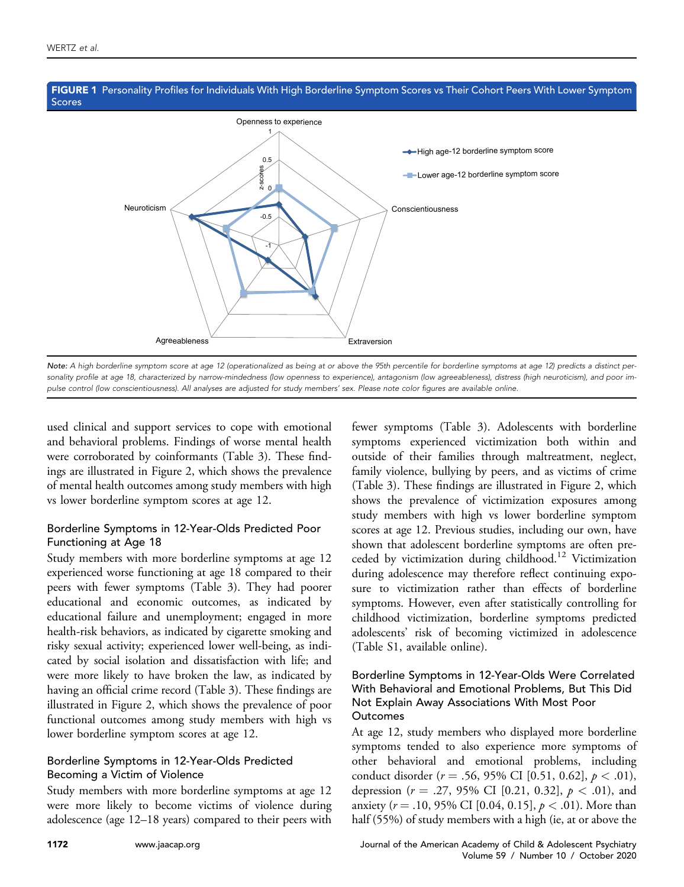

## <span id="page-7-0"></span>FIGURE 1 Personality Profiles for Individuals With High Borderline Symptom Scores vs Their Cohort Peers With Lower Symptom Scores

Note: A high borderline symptom score at age 12 (operationalized as being at or above the 95th percentile for borderline symptoms at age 12) predicts a distinct personality profile at age 18, characterized by narrow-mindedness (low openness to experience), antagonism (low agreeableness), distress (high neuroticism), and poor impulse control (low conscientiousness). All analyses are adjusted for study members' sex. Please note color figures are available online.

used clinical and support services to cope with emotional and behavioral problems. Findings of worse mental health were corroborated by coinformants ([Table 3\)](#page-6-0). These findings are illustrated in [Figure 2](#page-8-0), which shows the prevalence of mental health outcomes among study members with high vs lower borderline symptom scores at age 12.

## Borderline Symptoms in 12-Year-Olds Predicted Poor Functioning at Age 18

Study members with more borderline symptoms at age 12 experienced worse functioning at age 18 compared to their peers with fewer symptoms [\(Table 3\)](#page-6-0). They had poorer educational and economic outcomes, as indicated by educational failure and unemployment; engaged in more health-risk behaviors, as indicated by cigarette smoking and risky sexual activity; experienced lower well-being, as indicated by social isolation and dissatisfaction with life; and were more likely to have broken the law, as indicated by having an official crime record ([Table 3](#page-6-0)). These findings are illustrated in [Figure 2,](#page-8-0) which shows the prevalence of poor functional outcomes among study members with high vs lower borderline symptom scores at age 12.

# Borderline Symptoms in 12-Year-Olds Predicted Becoming a Victim of Violence

Study members with more borderline symptoms at age 12 were more likely to become victims of violence during adolescence (age 12–18 years) compared to their peers with

fewer symptoms [\(Table 3\)](#page-6-0). Adolescents with borderline symptoms experienced victimization both within and outside of their families through maltreatment, neglect, family violence, bullying by peers, and as victims of crime ([Table 3\)](#page-6-0). These findings are illustrated in [Figure 2,](#page-8-0) which shows the prevalence of victimization exposures among study members with high vs lower borderline symptom scores at age 12. Previous studies, including our own, have shown that adolescent borderline symptoms are often preceded by victimization during childhood[.12](#page-11-6) Victimization during adolescence may therefore reflect continuing exposure to victimization rather than effects of borderline symptoms. However, even after statistically controlling for childhood victimization, borderline symptoms predicted adolescents' risk of becoming victimized in adolescence ([Table S1](#page-13-0), available online).

## Borderline Symptoms in 12-Year-Olds Were Correlated With Behavioral and Emotional Problems, But This Did Not Explain Away Associations With Most Poor **Outcomes**

At age 12, study members who displayed more borderline symptoms tended to also experience more symptoms of other behavioral and emotional problems, including conduct disorder ( $r = .56, 95\%$  CI [0.51, 0.62],  $p < .01$ ), depression ( $r = .27, 95\%$  CI [0.21, 0.32],  $p < .01$ ), and anxiety ( $r = .10, 95\%$  CI [0.04, 0.15],  $p < .01$ ). More than half (55%) of study members with a high (ie, at or above the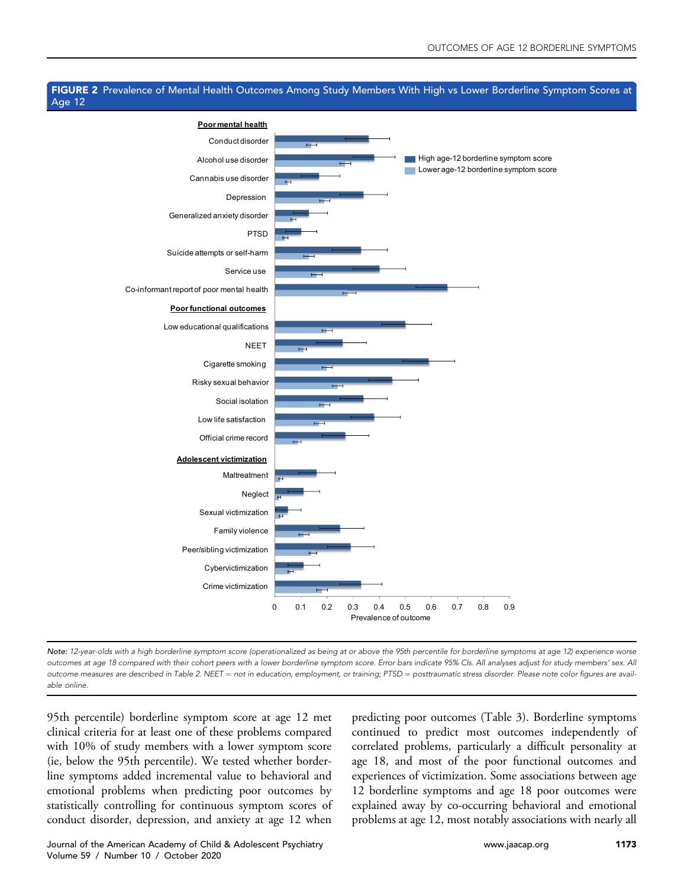## <span id="page-8-0"></span>FIGURE 2 Prevalence of Mental Health Outcomes Among Study Members With High vs Lower Borderline Symptom Scores at Age 12



Note: 12-year-olds with a high borderline symptom score (operationalized as being at or above the 95th percentile for borderline symptoms at age 12) experience worse outcomes at age 18 compared with their cohort peers with a lower borderline symptom score. Error bars indicate 95% CIs. All analyses adjust for study members' sex. All outcome measures are described in [Table 2.](#page-4-0) NEET = not in education, employment, or training; PTSD = posttraumatic stress disorder. Please note color figures are available online.

95th percentile) borderline symptom score at age 12 met clinical criteria for at least one of these problems compared with 10% of study members with a lower symptom score (ie, below the 95th percentile). We tested whether borderline symptoms added incremental value to behavioral and emotional problems when predicting poor outcomes by statistically controlling for continuous symptom scores of conduct disorder, depression, and anxiety at age 12 when

predicting poor outcomes [\(Table 3\)](#page-6-0). Borderline symptoms continued to predict most outcomes independently of correlated problems, particularly a difficult personality at age 18, and most of the poor functional outcomes and experiences of victimization. Some associations between age 12 borderline symptoms and age 18 poor outcomes were explained away by co-occurring behavioral and emotional problems at age 12, most notably associations with nearly all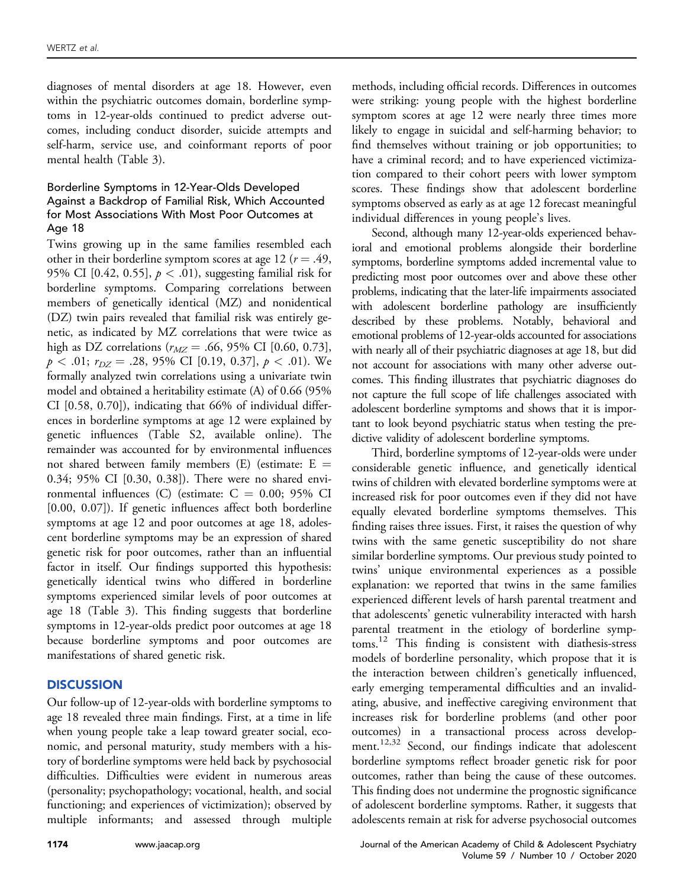diagnoses of mental disorders at age 18. However, even within the psychiatric outcomes domain, borderline symptoms in 12-year-olds continued to predict adverse outcomes, including conduct disorder, suicide attempts and self-harm, service use, and coinformant reports of poor mental health ([Table 3\)](#page-6-0).

## Borderline Symptoms in 12-Year-Olds Developed Against a Backdrop of Familial Risk, Which Accounted for Most Associations With Most Poor Outcomes at Age 18

Twins growing up in the same families resembled each other in their borderline symptom scores at age 12 ( $r = .49$ , 95% CI [0.42, 0.55],  $p < .01$ ), suggesting familial risk for borderline symptoms. Comparing correlations between members of genetically identical (MZ) and nonidentical (DZ) twin pairs revealed that familial risk was entirely genetic, as indicated by MZ correlations that were twice as high as DZ correlations ( $r_{MZ} = .66, 95\%$  CI [0.60, 0.73],  $p < .01$ ;  $r_{DZ} = .28, 95\%$  CI [0.19, 0.37],  $p < .01$ ). We formally analyzed twin correlations using a univariate twin model and obtained a heritability estimate (A) of 0.66 (95% CI [0.58, 0.70]), indicating that 66% of individual differences in borderline symptoms at age 12 were explained by genetic influences [\(Table S2,](#page-13-1) available online). The remainder was accounted for by environmental influences not shared between family members (E) (estimate:  $E =$ 0.34; 95% CI [0.30, 0.38]). There were no shared environmental influences (C) (estimate:  $C = 0.00$ ; 95% CI [0.00, 0.07]). If genetic influences affect both borderline symptoms at age 12 and poor outcomes at age 18, adolescent borderline symptoms may be an expression of shared genetic risk for poor outcomes, rather than an influential factor in itself. Our findings supported this hypothesis: genetically identical twins who differed in borderline symptoms experienced similar levels of poor outcomes at age 18 ([Table 3\)](#page-6-0). This finding suggests that borderline symptoms in 12-year-olds predict poor outcomes at age 18 because borderline symptoms and poor outcomes are manifestations of shared genetic risk.

## **DISCUSSION**

Our follow-up of 12-year-olds with borderline symptoms to age 18 revealed three main findings. First, at a time in life when young people take a leap toward greater social, economic, and personal maturity, study members with a history of borderline symptoms were held back by psychosocial difficulties. Difficulties were evident in numerous areas (personality; psychopathology; vocational, health, and social functioning; and experiences of victimization); observed by multiple informants; and assessed through multiple methods, including official records. Differences in outcomes were striking: young people with the highest borderline symptom scores at age 12 were nearly three times more likely to engage in suicidal and self-harming behavior; to find themselves without training or job opportunities; to have a criminal record; and to have experienced victimization compared to their cohort peers with lower symptom scores. These findings show that adolescent borderline symptoms observed as early as at age 12 forecast meaningful individual differences in young people's lives.

Second, although many 12-year-olds experienced behavioral and emotional problems alongside their borderline symptoms, borderline symptoms added incremental value to predicting most poor outcomes over and above these other problems, indicating that the later-life impairments associated with adolescent borderline pathology are insufficiently described by these problems. Notably, behavioral and emotional problems of 12-year-olds accounted for associations with nearly all of their psychiatric diagnoses at age 18, but did not account for associations with many other adverse outcomes. This finding illustrates that psychiatric diagnoses do not capture the full scope of life challenges associated with adolescent borderline symptoms and shows that it is important to look beyond psychiatric status when testing the predictive validity of adolescent borderline symptoms.

Third, borderline symptoms of 12-year-olds were under considerable genetic influence, and genetically identical twins of children with elevated borderline symptoms were at increased risk for poor outcomes even if they did not have equally elevated borderline symptoms themselves. This finding raises three issues. First, it raises the question of why twins with the same genetic susceptibility do not share similar borderline symptoms. Our previous study pointed to twins' unique environmental experiences as a possible explanation: we reported that twins in the same families experienced different levels of harsh parental treatment and that adolescents' genetic vulnerability interacted with harsh parental treatment in the etiology of borderline symptoms.[12](#page-11-6) This finding is consistent with diathesis-stress models of borderline personality, which propose that it is the interaction between children's genetically influenced, early emerging temperamental difficulties and an invalidating, abusive, and ineffective caregiving environment that increases risk for borderline problems (and other poor outcomes) in a transactional process across development.<sup>12,32</sup> Second, our findings indicate that adolescent borderline symptoms reflect broader genetic risk for poor outcomes, rather than being the cause of these outcomes. This finding does not undermine the prognostic significance of adolescent borderline symptoms. Rather, it suggests that adolescents remain at risk for adverse psychosocial outcomes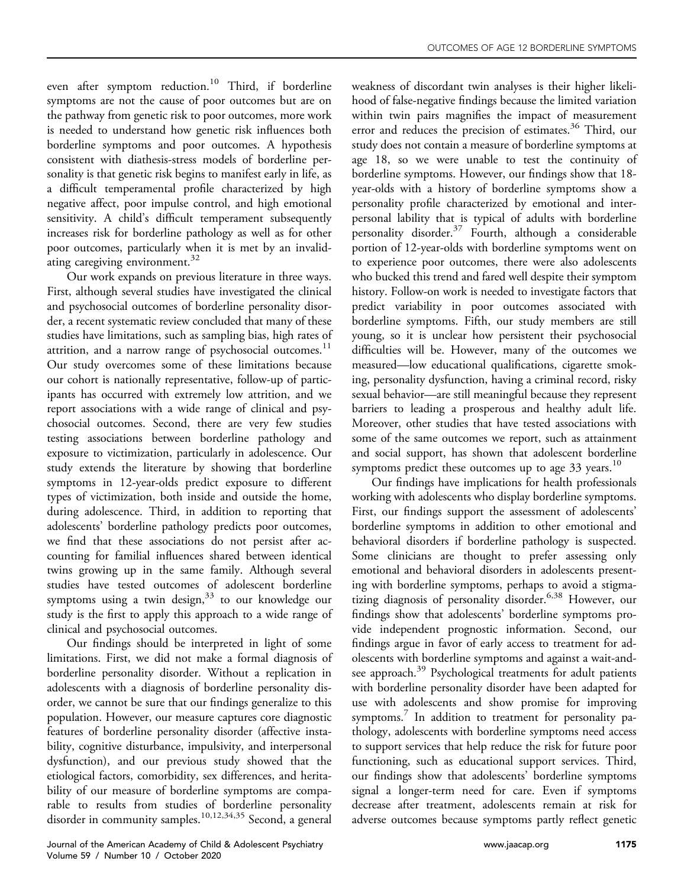even after symptom reduction.<sup>[10](#page-11-4)</sup> Third, if borderline symptoms are not the cause of poor outcomes but are on the pathway from genetic risk to poor outcomes, more work is needed to understand how genetic risk influences both borderline symptoms and poor outcomes. A hypothesis consistent with diathesis-stress models of borderline personality is that genetic risk begins to manifest early in life, as a difficult temperamental profile characterized by high negative affect, poor impulse control, and high emotional sensitivity. A child's difficult temperament subsequently increases risk for borderline pathology as well as for other poor outcomes, particularly when it is met by an invalid-ating caregiving environment.<sup>[32](#page-12-9)</sup>

Our work expands on previous literature in three ways. First, although several studies have investigated the clinical and psychosocial outcomes of borderline personality disorder, a recent systematic review concluded that many of these studies have limitations, such as sampling bias, high rates of attrition, and a narrow range of psychosocial outcomes.<sup>11</sup> Our study overcomes some of these limitations because our cohort is nationally representative, follow-up of participants has occurred with extremely low attrition, and we report associations with a wide range of clinical and psychosocial outcomes. Second, there are very few studies testing associations between borderline pathology and exposure to victimization, particularly in adolescence. Our study extends the literature by showing that borderline symptoms in 12-year-olds predict exposure to different types of victimization, both inside and outside the home, during adolescence. Third, in addition to reporting that adolescents' borderline pathology predicts poor outcomes, we find that these associations do not persist after accounting for familial influences shared between identical twins growing up in the same family. Although several studies have tested outcomes of adolescent borderline symptoms using a twin design,  $33$  to our knowledge our study is the first to apply this approach to a wide range of clinical and psychosocial outcomes.

Our findings should be interpreted in light of some limitations. First, we did not make a formal diagnosis of borderline personality disorder. Without a replication in adolescents with a diagnosis of borderline personality disorder, we cannot be sure that our findings generalize to this population. However, our measure captures core diagnostic features of borderline personality disorder (affective instability, cognitive disturbance, impulsivity, and interpersonal dysfunction), and our previous study showed that the etiological factors, comorbidity, sex differences, and heritability of our measure of borderline symptoms are comparable to results from studies of borderline personality disorder in community samples.<sup>[10,12,34,35](#page-11-4)</sup> Second, a general weakness of discordant twin analyses is their higher likelihood of false-negative findings because the limited variation within twin pairs magnifies the impact of measurement error and reduces the precision of estimates.<sup>[36](#page-12-11)</sup> Third, our study does not contain a measure of borderline symptoms at age 18, so we were unable to test the continuity of borderline symptoms. However, our findings show that 18 year-olds with a history of borderline symptoms show a personality profile characterized by emotional and interpersonal lability that is typical of adults with borderline personality disorder. $37$  Fourth, although a considerable portion of 12-year-olds with borderline symptoms went on to experience poor outcomes, there were also adolescents who bucked this trend and fared well despite their symptom history. Follow-on work is needed to investigate factors that predict variability in poor outcomes associated with borderline symptoms. Fifth, our study members are still young, so it is unclear how persistent their psychosocial difficulties will be. However, many of the outcomes we measured—low educational qualifications, cigarette smoking, personality dysfunction, having a criminal record, risky sexual behavior—are still meaningful because they represent barriers to leading a prosperous and healthy adult life. Moreover, other studies that have tested associations with some of the same outcomes we report, such as attainment and social support, has shown that adolescent borderline symptoms predict these outcomes up to age  $33$  years.<sup>10</sup>

Our findings have implications for health professionals working with adolescents who display borderline symptoms. First, our findings support the assessment of adolescents' borderline symptoms in addition to other emotional and behavioral disorders if borderline pathology is suspected. Some clinicians are thought to prefer assessing only emotional and behavioral disorders in adolescents presenting with borderline symptoms, perhaps to avoid a stigmatizing diagnosis of personality disorder.<sup>6,38</sup> However, our findings show that adolescents' borderline symptoms provide independent prognostic information. Second, our findings argue in favor of early access to treatment for adolescents with borderline symptoms and against a wait-and-see approach.<sup>[39](#page-12-13)</sup> Psychological treatments for adult patients with borderline personality disorder have been adapted for use with adolescents and show promise for improving symptoms.<sup>7</sup> In addition to treatment for personality pathology, adolescents with borderline symptoms need access to support services that help reduce the risk for future poor functioning, such as educational support services. Third, our findings show that adolescents' borderline symptoms signal a longer-term need for care. Even if symptoms decrease after treatment, adolescents remain at risk for adverse outcomes because symptoms partly reflect genetic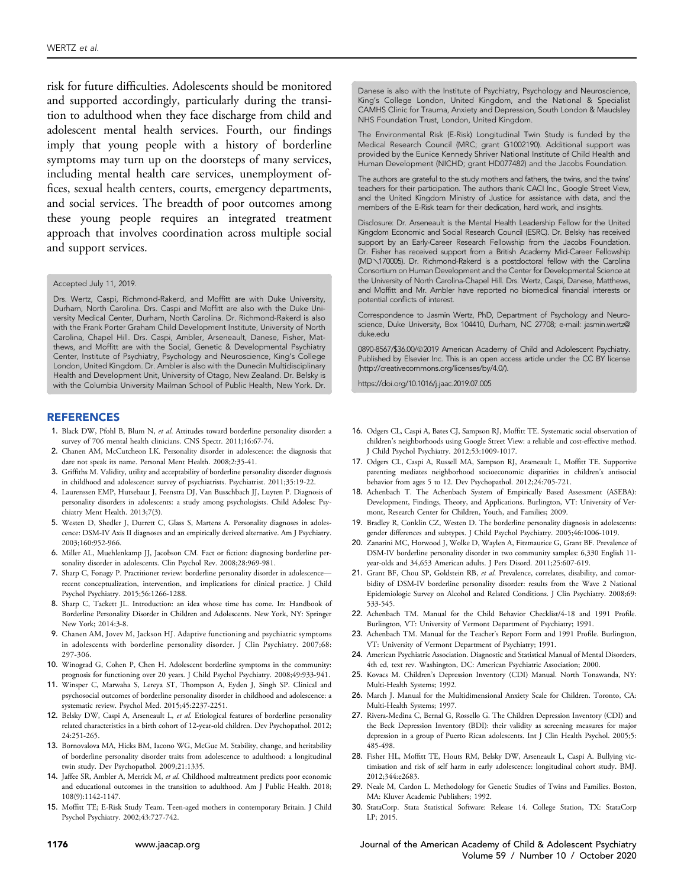risk for future difficulties. Adolescents should be monitored and supported accordingly, particularly during the transition to adulthood when they face discharge from child and adolescent mental health services. Fourth, our findings imply that young people with a history of borderline symptoms may turn up on the doorsteps of many services, including mental health care services, unemployment offices, sexual health centers, courts, emergency departments, and social services. The breadth of poor outcomes among these young people requires an integrated treatment approach that involves coordination across multiple social and support services.

#### Accepted July 11, 2019.

<span id="page-11-22"></span>Drs. Wertz, Caspi, Richmond-Rakerd, and Moffitt are with Duke University, Durham, North Carolina. Drs. Caspi and Moffitt are also with the Duke University Medical Center, Durham, North Carolina. Dr. Richmond-Rakerd is also with the Frank Porter Graham Child Development Institute, University of North Carolina, Chapel Hill. Drs. Caspi, Ambler, Arseneault, Danese, Fisher, Matthews, and Moffitt are with the Social, Genetic & Developmental Psychiatry Center, Institute of Psychiatry, Psychology and Neuroscience, King's College London, United Kingdom. Dr. Ambler is also with the Dunedin Multidisciplinary Health and Development Unit, University of Otago, New Zealand. Dr. Belsky is with the Columbia University Mailman School of Public Health, New York. Dr.

### REFERENCES

- <span id="page-11-0"></span>1. Black DW, Pfohl B, Blum N, et al. Attitudes toward borderline personality disorder: a survey of 706 mental health clinicians. CNS Spectr. 2011;16:67-74.
- <span id="page-11-1"></span>2. Chanen AM, McCutcheon LK. Personality disorder in adolescence: the diagnosis that dare not speak its name. Personal Ment Health. 2008;2:35-41.
- 3. Griffiths M. Validity, utility and acceptability of borderline personality disorder diagnosis in childhood and adolescence: survey of psychiatrists. Psychiatrist. 2011;35:19-22.
- <span id="page-11-2"></span>4. Laurenssen EMP, Hutsebaut J, Feenstra DJ, Van Busschbach JJ, Luyten P. Diagnosis of personality disorders in adolescents: a study among psychologists. Child Adolesc Psychiatry Ment Health. 2013;7(3).
- <span id="page-11-11"></span>5. Westen D, Shedler J, Durrett C, Glass S, Martens A. Personality diagnoses in adolescence: DSM-IV Axis II diagnoses and an empirically derived alternative. Am J Psychiatry. 2003;160:952-966.
- <span id="page-11-23"></span>6. Miller AL, Muehlenkamp JJ, Jacobson CM. Fact or fiction: diagnosing borderline personality disorder in adolescents. Clin Psychol Rev. 2008;28:969-981.
- <span id="page-11-7"></span>7. Sharp C, Fonagy P. Practitioner review: borderline personality disorder in adolescence recent conceptualization, intervention, and implications for clinical practice. J Child Psychol Psychiatry. 2015;56:1266-1288.
- 8. Sharp C, Tackett JL. Introduction: an idea whose time has come. In: Handbook of Borderline Personality Disorder in Children and Adolescents. New York, NY: Springer New York; 2014:3-8.
- <span id="page-11-3"></span>9. Chanen AM, Jovev M, Jackson HJ. Adaptive functioning and psychiatric symptoms in adolescents with borderline personality disorder. J Clin Psychiatry. 2007;68: 297-306.
- <span id="page-11-4"></span>10. Winograd G, Cohen P, Chen H. Adolescent borderline symptoms in the community: prognosis for functioning over 20 years. J Child Psychol Psychiatry. 2008;49:933-941.
- <span id="page-11-5"></span>11. Winsper C, Marwaha S, Lereya ST, Thompson A, Eyden J, Singh SP. Clinical and psychosocial outcomes of borderline personality disorder in childhood and adolescence: a systematic review. Psychol Med. 2015;45:2237-2251.
- <span id="page-11-6"></span>12. Belsky DW, Caspi A, Arseneault L, et al. Etiological features of borderline personality related characteristics in a birth cohort of 12-year-old children. Dev Psychopathol. 2012; 24:251-265.
- <span id="page-11-8"></span>13. Bornovalova MA, Hicks BM, Iacono WG, McGue M. Stability, change, and heritability of borderline personality disorder traits from adolescence to adulthood: a longitudinal twin study. Dev Psychopathol. 2009;21:1335.
- 14. Jaffee SR, Ambler A, Merrick M, et al. Childhood maltreatment predicts poor economic and educational outcomes in the transition to adulthood. Am J Public Health. 2018; 108(9):1142-1147.
- <span id="page-11-9"></span>15. Moffitt TE; E-Risk Study Team. Teen-aged mothers in contemporary Britain. J Child Psychol Psychiatry. 2002;43:727-742.

Danese is also with the Institute of Psychiatry, Psychology and Neuroscience, King's College London, United Kingdom, and the National & Specialist CAMHS Clinic for Trauma, Anxiety and Depression, South London & Maudsley NHS Foundation Trust, London, United Kingdom.

The Environmental Risk (E-Risk) Longitudinal Twin Study is funded by the Medical Research Council (MRC; grant G1002190). Additional support was provided by the Eunice Kennedy Shriver National Institute of Child Health and Human Development (NICHD; grant HD077482) and the Jacobs Foundation.

The authors are grateful to the study mothers and fathers, the twins, and the twins' teachers for their participation. The authors thank CACI Inc., Google Street View, and the United Kingdom Ministry of Justice for assistance with data, and the members of the E-Risk team for their dedication, hard work, and insights.

Disclosure: Dr. Arseneault is the Mental Health Leadership Fellow for the United Kingdom Economic and Social Research Council (ESRC). Dr. Belsky has received support by an Early-Career Research Fellowship from the Jacobs Foundation. Dr. Fisher has received support from a British Academy Mid-Career Fellowship (MDy170005). Dr. Richmond-Rakerd is a postdoctoral fellow with the Carolina Consortium on Human Development and the Center for Developmental Science at the University of North Carolina-Chapel Hill. Drs. Wertz, Caspi, Danese, Matthews, and Moffitt and Mr. Ambler have reported no biomedical financial interests or potential conflicts of interest.

Correspondence to Jasmin Wertz, PhD, Department of Psychology and Neuroscience, Duke University, Box 104410, Durham, NC 27708; e-mail: [jasmin.wertz@](mailto:jasmin.wertz@duke.edu) [duke.edu](mailto:jasmin.wertz@duke.edu)

0890-8567/\$36.00/@2019 American Academy of Child and Adolescent Psychiatry. Published by Elsevier Inc. This is an open access article under the CC BY license (http://creativecommons.org/licenses/by/4.0/).

<https://doi.org/10.1016/j.jaac.2019.07.005>

- <span id="page-11-10"></span>16. Odgers CL, Caspi A, Bates CJ, Sampson RJ, Moffitt TE. Systematic social observation of children's neighborhoods using Google Street View: a reliable and cost-effective method. J Child Psychol Psychiatry. 2012;53:1009-1017.
- 17. Odgers CL, Caspi A, Russell MA, Sampson RJ, Arseneault L, Moffitt TE. Supportive parenting mediates neighborhood socioeconomic disparities in children's antisocial behavior from ages 5 to 12. Dev Psychopathol. 2012;24:705-721.
- <span id="page-11-12"></span>18. Achenbach T. The Achenbach System of Empirically Based Assessment (ASEBA): Development, Findings, Theory, and Applications. Burlington, VT: University of Vermont, Research Center for Children, Youth, and Families; 2009.
- <span id="page-11-13"></span>19. Bradley R, Conklin CZ, Westen D. The borderline personality diagnosis in adolescents: gender differences and subtypes. J Child Psychol Psychiatry. 2005;46:1006-1019.
- <span id="page-11-14"></span>20. Zanarini MC, Horwood J, Wolke D, Waylen A, Fitzmaurice G, Grant BF. Prevalence of DSM-IV borderline personality disorder in two community samples: 6,330 English 11 year-olds and 34,653 American adults. J Pers Disord. 2011;25:607-619.
- <span id="page-11-15"></span>21. Grant BF, Chou SP, Goldstein RB, et al. Prevalence, correlates, disability, and comorbidity of DSM-IV borderline personality disorder: results from the Wave 2 National Epidemiologic Survey on Alcohol and Related Conditions. J Clin Psychiatry. 2008;69: 533-545.
- <span id="page-11-16"></span>22. Achenbach TM. Manual for the Child Behavior Checklist/4-18 and 1991 Profile. Burlington, VT: University of Vermont Department of Psychiatry; 1991.
- 23. Achenbach TM. Manual for the Teacher's Report Form and 1991 Profile. Burlington, VT: University of Vermont Department of Psychiatry; 1991.
- 24. American Psychiatric Association. Diagnostic and Statistical Manual of Mental Disorders, 4th ed, text rev. Washington, DC: American Psychiatric Association; 2000.
- <span id="page-11-17"></span>25. Kovacs M. Children's Depression Inventory (CDI) Manual. North Tonawanda, NY: Multi-Health Systems; 1992.
- <span id="page-11-18"></span>26. March J. Manual for the Multidimensional Anxiety Scale for Children. Toronto, CA: Multi-Health Systems; 1997.
- 27. Rivera-Medina C, Bernal G, Rossello G. The Children Depression Inventory (CDI) and the Beck Depression Inventory (BDI): their validity as screening measures for major depression in a group of Puerto Rican adolescents. Int J Clin Health Psychol. 2005;5: 485-498.
- <span id="page-11-19"></span>28. Fisher HL, Moffitt TE, Houts RM, Belsky DW, Arseneault L, Caspi A. Bullying victimisation and risk of self harm in early adolescence: longitudinal cohort study. BMJ. 2012;344:e2683.
- <span id="page-11-20"></span>29. Neale M, Cardon L. Methodology for Genetic Studies of Twins and Families. Boston, MA: Kluver Academic Publishers; 1992.
- <span id="page-11-21"></span>30. StataCorp. Stata Statistical Software: Release 14. College Station, TX: StataCorp LP; 2015.

1176 [www.jaacap.org](http://www.jaacap.org) Journal of the American Academy of Child & Adolescent Psychiatry Volume 59 / Number 10 / October 2020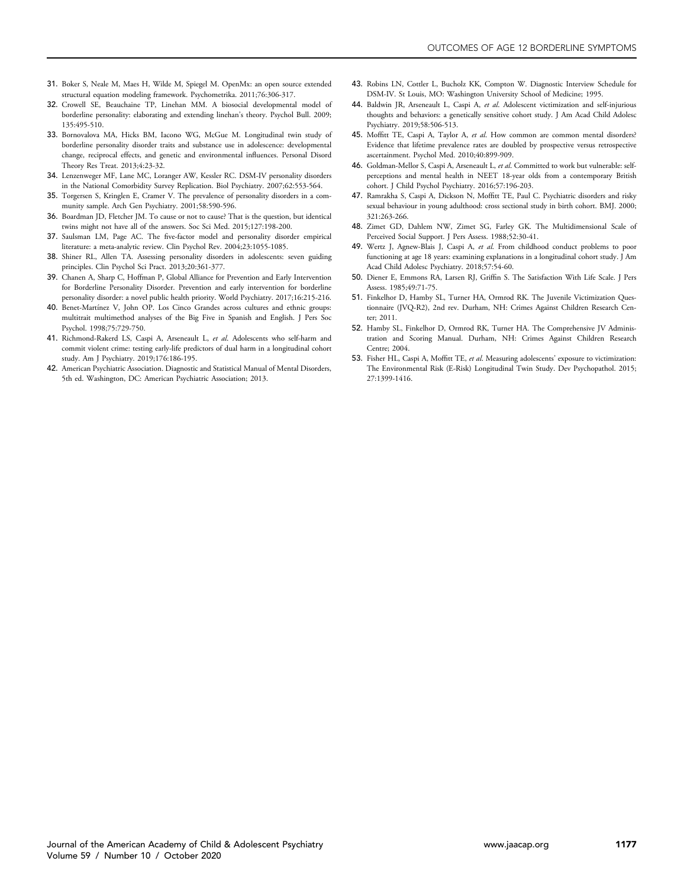- <span id="page-12-0"></span>31. Boker S, Neale M, Maes H, Wilde M, Spiegel M. OpenMx: an open source extended structural equation modeling framework. Psychometrika. 2011;76:306-317.
- <span id="page-12-9"></span>32. Crowell SE, Beauchaine TP, Linehan MM. A biosocial developmental model of borderline personality: elaborating and extending linehan's theory. Psychol Bull. 2009; 135:495-510.
- <span id="page-12-10"></span>33. Bornovalova MA, Hicks BM, Iacono WG, McGue M. Longitudinal twin study of borderline personality disorder traits and substance use in adolescence: developmental change, reciprocal effects, and genetic and environmental influences. Personal Disord Theory Res Treat. 2013;4:23-32.
- 34. Lenzenweger MF, Lane MC, Loranger AW, Kessler RC. DSM-IV personality disorders in the National Comorbidity Survey Replication. Biol Psychiatry. 2007;62:553-564.
- 35. Torgersen S, Kringlen E, Cramer V. The prevalence of personality disorders in a community sample. Arch Gen Psychiatry. 2001;58:590-596.
- <span id="page-12-11"></span>36. Boardman JD, Fletcher JM. To cause or not to cause? That is the question, but identical twins might not have all of the answers. Soc Sci Med. 2015;127:198-200.
- <span id="page-12-12"></span>37. Saulsman LM, Page AC. The five-factor model and personality disorder empirical literature: a meta-analytic review. Clin Psychol Rev. 2004;23:1055-1085.
- 38. Shiner RL, Allen TA. Assessing personality disorders in adolescents: seven guiding principles. Clin Psychol Sci Pract. 2013;20:361-377.
- <span id="page-12-13"></span>39. Chanen A, Sharp C, Hoffman P, Global Alliance for Prevention and Early Intervention for Borderline Personality Disorder. Prevention and early intervention for borderline personality disorder: a novel public health priority. World Psychiatry. 2017;16:215-216.
- 40. Benet-Martínez V, John OP. Los Cinco Grandes across cultures and ethnic groups: multitrait multimethod analyses of the Big Five in Spanish and English. J Pers Soc Psychol. 1998;75:729-750.
- 41. Richmond-Rakerd LS, Caspi A, Arseneault L, et al. Adolescents who self-harm and commit violent crime: testing early-life predictors of dual harm in a longitudinal cohort study. Am J Psychiatry. 2019;176:186-195.
- 42. American Psychiatric Association. Diagnostic and Statistical Manual of Mental Disorders, 5th ed. Washington, DC: American Psychiatric Association; 2013.
- <span id="page-12-2"></span><span id="page-12-1"></span>43. Robins LN, Cottler L, Bucholz KK, Compton W. Diagnostic Interview Schedule for DSM-IV. St Louis, MO: Washington University School of Medicine; 1995.
- 44. Baldwin JR, Arseneault L, Caspi A, et al. Adolescent victimization and self-injurious thoughts and behaviors: a genetically sensitive cohort study. J Am Acad Child Adolesc Psychiatry. 2019;58:506-513.
- 45. Moffitt TE, Caspi A, Taylor A, et al. How common are common mental disorders? Evidence that lifetime prevalence rates are doubled by prospective versus retrospective ascertainment. Psychol Med. 2010;40:899-909.
- 46. Goldman-Mellor S, Caspi A, Arseneault L, et al. Committed to work but vulnerable: selfperceptions and mental health in NEET 18-year olds from a contemporary British cohort. J Child Psychol Psychiatry. 2016;57:196-203.
- 47. Ramrakha S, Caspi A, Dickson N, Moffitt TE, Paul C. Psychiatric disorders and risky sexual behaviour in young adulthood: cross sectional study in birth cohort. BMJ. 2000; 321:263-266.
- 48. Zimet GD, Dahlem NW, Zimet SG, Farley GK. The Multidimensional Scale of Perceived Social Support. J Pers Assess. 1988;52:30-41.
- 49. Wertz J, Agnew-Blais J, Caspi A, et al. From childhood conduct problems to poor functioning at age 18 years: examining explanations in a longitudinal cohort study. J Am Acad Child Adolesc Psychiatry. 2018;57:54-60.
- 50. Diener E, Emmons RA, Larsen RJ, Griffin S. The Satisfaction With Life Scale. J Pers Assess. 1985;49:71-75.
- 51. Finkelhor D, Hamby SL, Turner HA, Ormrod RK. The Juvenile Victimization Questionnaire (JVQ-R2), 2nd rev. Durham, NH: Crimes Against Children Research Center; 2011.
- 52. Hamby SL, Finkelhor D, Ormrod RK, Turner HA. The Comprehensive JV Administration and Scoring Manual. Durham, NH: Crimes Against Children Research Centre; 2004.
- <span id="page-12-8"></span><span id="page-12-7"></span><span id="page-12-6"></span><span id="page-12-5"></span><span id="page-12-4"></span><span id="page-12-3"></span>53. Fisher HL, Caspi A, Moffitt TE, et al. Measuring adolescents' exposure to victimization: The Environmental Risk (E-Risk) Longitudinal Twin Study. Dev Psychopathol. 2015; 27:1399-1416.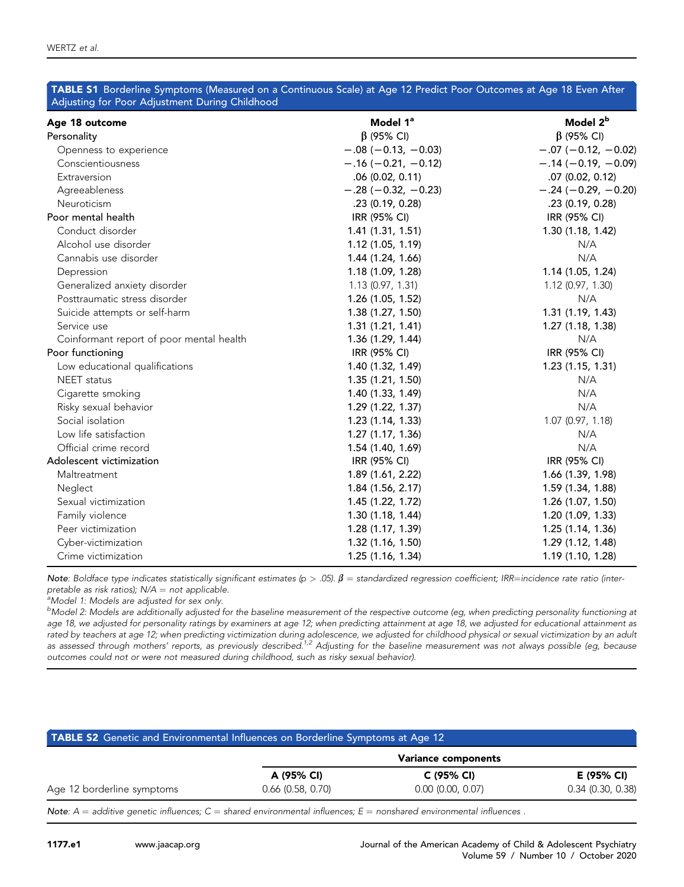<span id="page-13-0"></span>

| Age 18 outcome                           | Model 1ª              | Model 2 <sup>b</sup>  |
|------------------------------------------|-----------------------|-----------------------|
| Personality                              | $\beta$ (95% CI)      | $\beta$ (95% CI)      |
| Openness to experience                   | $-.08 (-0.13, -0.03)$ | $-.07 (-0.12, -0.02)$ |
| Conscientiousness                        | $-.16 (-0.21, -0.12)$ | $-.14 (-0.19, -0.09)$ |
| Extraversion                             | .06(0.02, 0.11)       | $.07$ (0.02, 0.12)    |
| Agreeableness                            | $-.28 (-0.32, -0.23)$ | $-.24 (-0.29, -0.20)$ |
| Neuroticism                              | .23(0.19, 0.28)       | .23 (0.19, 0.28)      |
| Poor mental health                       | IRR (95% CI)          | IRR (95% CI)          |
| Conduct disorder                         | 1.41(1.31, 1.51)      | 1.30 (1.18, 1.42)     |
| Alcohol use disorder                     | 1.12 (1.05, 1.19)     | N/A                   |
| Cannabis use disorder                    | 1.44 (1.24, 1.66)     | N/A                   |
| Depression                               | 1.18(1.09, 1.28)      | 1.14(1.05, 1.24)      |
| Generalized anxiety disorder             | 1.13 (0.97, 1.31)     | 1.12 (0.97, 1.30)     |
| Posttraumatic stress disorder            | 1.26 (1.05, 1.52)     | N/A                   |
| Suicide attempts or self-harm            | 1.38 (1.27, 1.50)     | 1.31 (1.19, 1.43)     |
| Service use                              | 1.31(1.21, 1.41)      | 1.27(1.18, 1.38)      |
| Coinformant report of poor mental health | 1.36(1.29, 1.44)      | N/A                   |
| Poor functioning                         | IRR (95% CI)          | IRR (95% CI)          |
| Low educational qualifications           | 1.40 (1.32, 1.49)     | 1.23 (1.15, 1.31)     |
| <b>NEET</b> status                       | 1.35(1.21, 1.50)      | N/A                   |
| Cigarette smoking                        | 1.40 (1.33, 1.49)     | N/A                   |
| Risky sexual behavior                    | 1.29(1.22, 1.37)      | N/A                   |
| Social isolation                         | 1.23(1.14, 1.33)      | 1.07 (0.97, 1.18)     |
| Low life satisfaction                    | 1.27 (1.17, 1.36)     | N/A                   |
| Official crime record                    | 1.54 (1.40, 1.69)     | N/A                   |
| Adolescent victimization                 | IRR (95% CI)          | IRR (95% CI)          |
| Maltreatment                             | 1.89 (1.61, 2.22)     | 1.66 (1.39, 1.98)     |
| Neglect                                  | 1.84(1.56, 2.17)      | 1.59 (1.34, 1.88)     |
| Sexual victimization                     | 1.45 (1.22, 1.72)     | 1.26 (1.07, 1.50)     |
| Family violence                          | 1.30(1.18, 1.44)      | 1.20 (1.09, 1.33)     |
| Peer victimization                       | 1.28(1.17, 1.39)      | 1.25(1.14, 1.36)      |
| Cyber-victimization                      | 1.32 (1.16, 1.50)     | 1.29 (1.12, 1.48)     |
| Crime victimization                      | 1.25 (1.16, 1.34)     | 1.19 (1.10, 1.28)     |

Note: Boldface type indicates statistically significant estimates (p > .05).  $\beta$  = standardized regression coefficient; IRR=incidence rate ratio (interpretable as risk ratios);  $N/A =$  not applicable.

a<br>Model 1: Models are adjusted for sex only.

 $^{\rm b}$ Model 2: Models are additionally adjusted for the baseline measurement of the respective outcome (eg, when predicting personality functioning at age 18, we adjusted for personality ratings by examiners at age 12; when predicting attainment at age 18, we adjusted for educational attainment as rated by teachers at age 12; when predicting victimization during adolescence, we adjusted for childhood physical or sexual victimization by an adult<br>as assessed through mothers' reports, as previously described.<sup>[1,2](#page-14-0)</sup> Adju outcomes could not or were not measured during childhood, such as risky sexual behavior).

<span id="page-13-1"></span>

| <b>TABLE S2</b> Genetic and Environmental Influences on Borderline Symptoms at Age 12 |                     |                     |                     |
|---------------------------------------------------------------------------------------|---------------------|---------------------|---------------------|
|                                                                                       |                     | Variance components |                     |
|                                                                                       | A (95% CI)          | C (95% CI)          | E (95% CI)          |
| Age 12 borderline symptoms                                                            | $0.66$ (0.58, 0.70) | $0.00$ (0.00, 0.07) | $0.34$ (0.30, 0.38) |

Note:  $A =$  additive genetic influences;  $C =$  shared environmental influences;  $E =$  nonshared environmental influences .